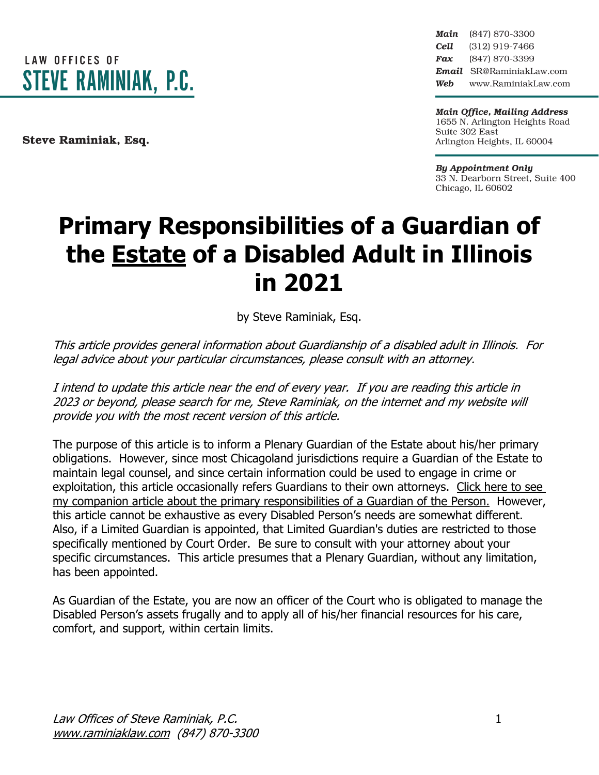

Steve Raminiak, Esq.

Main (847) 870-3300 Cell (312) 919-7466 Fax (847) 870-3399 Email SR@RaminiakLaw.com Web www.RaminiakLaw.com

**Main Office, Mailing Address** 1655 N. Arlington Heights Road Suite 302 East Arlington Heights, IL 60004

**By Appointment Only** 33 N. Dearborn Street, Suite 400 Chicago, IL 60602

# **Primary Responsibilities of a Guardian of the Estate of a Disabled Adult in Illinois in 2021**

by Steve Raminiak, Esq.

This article provides general information about Guardianship of <sup>a</sup> disabled adult in Illinois. For legal advice about your particular circumstances, please consult with an attorney.

I intend to update this article near the end of every year. If you are reading this article in 2023 or beyond, please search for me, Steve Raminiak, on the internet and my website will provide you with the most recent version of this article.

The purpose of this article is to inform a Plenary Guardian of the Estate about his/her primary obligations. However, since most Chicagoland jurisdictions require a Guardian of the Estate to maintain legal counsel, and since certain information could be used to engage in crime or exploitation, this article occasionally refers Guardians to their own attorneys. [Click](https://www.raminiaklaw.com/guardian-of-the-person) here to see my companion article about the primary [responsibilities](https://www.raminiaklaw.com/guardian-of-the-person) of a Guardian of the Person. However, this article cannot be exhaustive as every Disabled Person's needs are somewhat different. Also, if a Limited Guardian is appointed, that Limited Guardian's duties are restricted to those specifically mentioned by Court Order. Be sure to consult with your attorney about your specific circumstances. This article presumes that a Plenary Guardian, without any limitation, has been appointed.

As Guardian of the Estate, you are now an officer of the Court who is obligated to manage the Disabled Person's assets frugally and to apply all of his/her financial resources for his care, comfort, and support, within certain limits.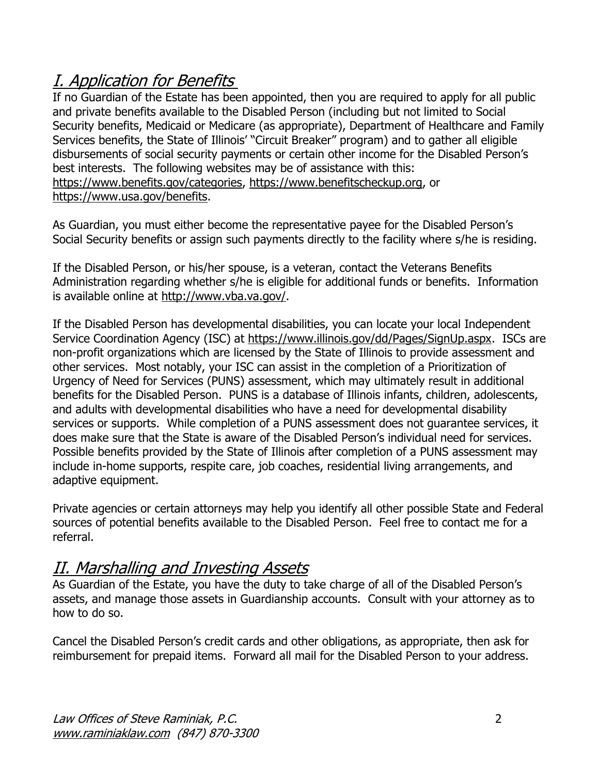# I. Application for Benefits

If no Guardian of the Estate has been appointed, then you are required to apply for all public and private benefits available to the Disabled Person (including but not limited to Social Security benefits, Medicaid or Medicare (as appropriate), Department of Healthcare and Family Services benefits, the State of Illinois' "Circuit Breaker" program) and to gather all eligible disbursements of social security payments or certain other income for the Disabled Person's best interests. The following websites may be of assistance with this: [https://www.benefits.gov/categories,](https://www.benefits.gov/categories) [https://www.benefitscheckup.org,](https://www.benefitscheckup.org/) or [https://www.usa.gov/benefits.](https://www.usa.gov/benefits)

As Guardian, you must either become the representative payee for the Disabled Person's Social Security benefits or assign such payments directly to the facility where s/he is residing.

If the Disabled Person, or his/her spouse, is a veteran, contact the Veterans Benefits Administration regarding whether s/he is eligible for additional funds or benefits. Information is available online at [http://www.vba.va.gov/.](http://www.vba.va.gov/)

If the Disabled Person has developmental disabilities, you can locate your local Independent Service Coordination Agency (ISC) at [https://www.illinois.gov/dd/Pages/SignUp.aspx.](https://www.illinois.gov/dd/Pages/SignUp.aspx) ISCs are non-profit organizations which are licensed by the State of Illinois to provide assessment and other services. Most notably, your ISC can assist in the completion of a Prioritization of Urgency of Need for Services (PUNS) assessment, which may ultimately result in additional benefits for the Disabled Person. PUNS is a database of Illinois infants, children, adolescents, and adults with developmental disabilities who have a need for developmental disability services or supports. While completion of a PUNS assessment does not guarantee services, it does make sure that the State is aware of the Disabled Person's individual need for services. Possible benefits provided by the State of Illinois after completion of a PUNS assessment may include in-home supports, respite care, job coaches, residential living arrangements, and adaptive equipment.

Private agencies or certain attorneys may help you identify all other possible State and Federal sources of potential benefits available to the Disabled Person. Feel free to contact me for a referral.

#### II. Marshalling and Investing Assets

As Guardian of the Estate, you have the duty to take charge of all of the Disabled Person's assets, and manage those assets in Guardianship accounts. Consult with your attorney as to how to do so.

Cancel the Disabled Person's credit cards and other obligations, as appropriate, then ask for reimbursement for prepaid items. Forward all mail for the Disabled Person to your address.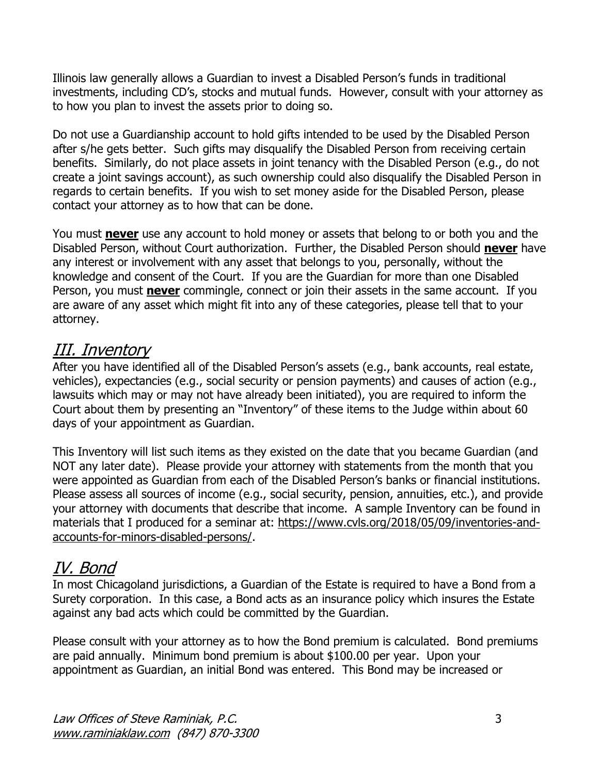Illinois law generally allows a Guardian to invest a Disabled Person's funds in traditional investments, including CD's, stocks and mutual funds. However, consult with your attorney as to how you plan to invest the assets prior to doing so.

Do not use a Guardianship account to hold gifts intended to be used by the Disabled Person after s/he gets better. Such gifts may disqualify the Disabled Person from receiving certain benefits. Similarly, do not place assets in joint tenancy with the Disabled Person (e.g., do not create a joint savings account), as such ownership could also disqualify the Disabled Person in regards to certain benefits. If you wish to set money aside for the Disabled Person, please contact your attorney as to how that can be done.

You must **never** use any account to hold money or assets that belong to or both you and the Disabled Person, without Court authorization. Further, the Disabled Person should **never** have any interest or involvement with any asset that belongs to you, personally, without the knowledge and consent of the Court. If you are the Guardian for more than one Disabled Person, you must **never** commingle, connect or join their assets in the same account. If you are aware of any asset which might fit into any of these categories, please tell that to your attorney.

### III. Inventory

After you have identified all of the Disabled Person's assets (e.g., bank accounts, real estate, vehicles), expectancies (e.g., social security or pension payments) and causes of action (e.g., lawsuits which may or may not have already been initiated), you are required to inform the Court about them by presenting an "Inventory" of these items to the Judge within about 60 days of your appointment as Guardian.

This Inventory will list such items as they existed on the date that you became Guardian (and NOT any later date). Please provide your attorney with statements from the month that you were appointed as Guardian from each of the Disabled Person's banks or financial institutions. Please assess all sources of income (e.g., social security, pension, annuities, etc.), and provide your attorney with documents that describe that income. A sample Inventory can be found in materials that I produced for a seminar at: https://www.cvls.org/2018/05/09/inventories-andaccounts-for-minors-disabled-persons/.

## IV. Bond

In most Chicagoland jurisdictions, a Guardian of the Estate is required to have a Bond from a Surety corporation. In this case, a Bond acts as an insurance policy which insures the Estate against any bad acts which could be committed by the Guardian.

Please consult with your attorney as to how the Bond premium is calculated. Bond premiums are paid annually. Minimum bond premium is about \$100.00 per year. Upon your appointment as Guardian, an initial Bond was entered. This Bond may be increased or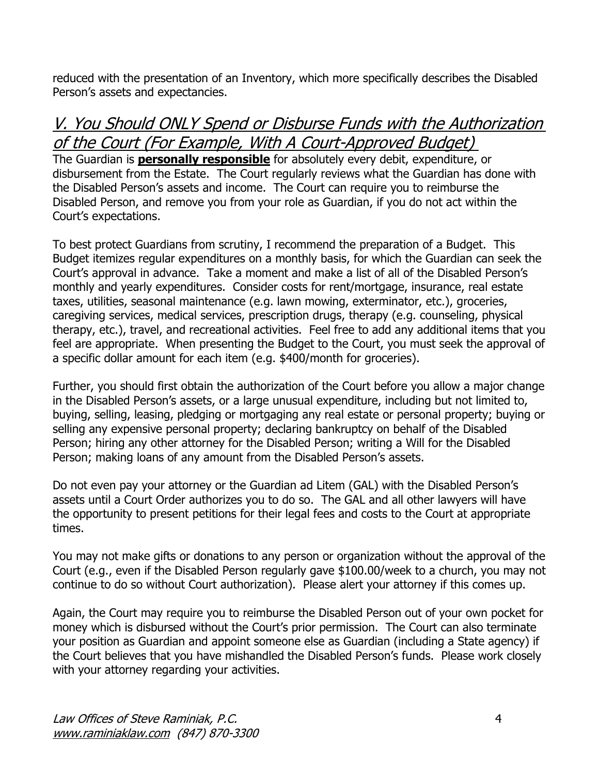reduced with the presentation of an Inventory, which more specifically describes the Disabled Person's assets and expectancies.

### V. You Should ONLY Spend or Disburse Funds with the Authorization of the Court (For Example, With A Court-Approved Budget)

The Guardian is **personally responsible** for absolutely every debit, expenditure, or disbursement from the Estate. The Court regularly reviews what the Guardian has done with the Disabled Person's assets and income. The Court can require you to reimburse the Disabled Person, and remove you from your role as Guardian, if you do not act within the Court's expectations.

To best protect Guardians from scrutiny, I recommend the preparation of a Budget. This Budget itemizes regular expenditures on a monthly basis, for which the Guardian can seek the Court's approval in advance. Take a moment and make a list of all of the Disabled Person's monthly and yearly expenditures. Consider costs for rent/mortgage, insurance, real estate taxes, utilities, seasonal maintenance (e.g. lawn mowing, exterminator, etc.), groceries, caregiving services, medical services, prescription drugs, therapy (e.g. counseling, physical therapy, etc.), travel, and recreational activities. Feel free to add any additional items that you feel are appropriate. When presenting the Budget to the Court, you must seek the approval of a specific dollar amount for each item (e.g. \$400/month for groceries).

Further, you should first obtain the authorization of the Court before you allow a major change in the Disabled Person's assets, or a large unusual expenditure, including but not limited to, buying, selling, leasing, pledging or mortgaging any real estate or personal property; buying or selling any expensive personal property; declaring bankruptcy on behalf of the Disabled Person; hiring any other attorney for the Disabled Person; writing a Will for the Disabled Person; making loans of any amount from the Disabled Person's assets.

Do not even pay your attorney or the Guardian ad Litem (GAL) with the Disabled Person's assets until a Court Order authorizes you to do so. The GAL and all other lawyers will have the opportunity to present petitions for their legal fees and costs to the Court at appropriate times.

You may not make gifts or donations to any person or organization without the approval of the Court (e.g., even if the Disabled Person regularly gave \$100.00/week to a church, you may not continue to do so without Court authorization). Please alert your attorney if this comes up.

Again, the Court may require you to reimburse the Disabled Person out of your own pocket for money which is disbursed without the Court's prior permission. The Court can also terminate your position as Guardian and appoint someone else as Guardian (including a State agency) if the Court believes that you have mishandled the Disabled Person's funds. Please work closely with your attorney regarding your activities.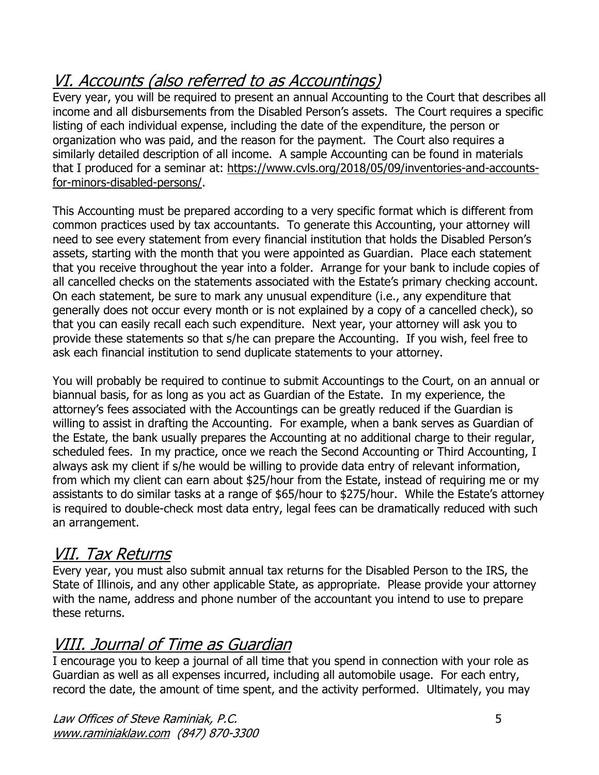# VI. Accounts (also referred to as Accountings)

Every year, you will be required to present an annual Accounting to the Court that describes all income and all disbursements from the Disabled Person's assets. The Court requires a specific listing of each individual expense, including the date of the expenditure, the person or organization who was paid, and the reason for the payment. The Court also requires a similarly detailed description of all income. A sample Accounting can be found in materials that I produced for a seminar at: https://www.cvls.org/2018/05/09/inventories-and-accountsfor-minors-disabled-persons/.

This Accounting must be prepared according to a very specific format which is different from common practices used by tax accountants. To generate this Accounting, your attorney will need to see every statement from every financial institution that holds the Disabled Person's assets, starting with the month that you were appointed as Guardian. Place each statement that you receive throughout the year into a folder. Arrange for your bank to include copies of all cancelled checks on the statements associated with the Estate's primary checking account. On each statement, be sure to mark any unusual expenditure (i.e., any expenditure that generally does not occur every month or is not explained by a copy of a cancelled check), so that you can easily recall each such expenditure. Next year, your attorney will ask you to provide these statements so that s/he can prepare the Accounting. If you wish, feel free to ask each financial institution to send duplicate statements to your attorney.

You will probably be required to continue to submit Accountings to the Court, on an annual or biannual basis, for as long as you act as Guardian of the Estate. In my experience, the attorney's fees associated with the Accountings can be greatly reduced if the Guardian is willing to assist in drafting the Accounting. For example, when a bank serves as Guardian of the Estate, the bank usually prepares the Accounting at no additional charge to their regular, scheduled fees. In my practice, once we reach the Second Accounting or Third Accounting, I always ask my client if s/he would be willing to provide data entry of relevant information, from which my client can earn about \$25/hour from the Estate, instead of requiring me or my assistants to do similar tasks at a range of \$65/hour to \$275/hour. While the Estate's attorney is required to double-check most data entry, legal fees can be dramatically reduced with such an arrangement.

### VII. Tax Returns

Every year, you must also submit annual tax returns for the Disabled Person to the IRS, the State of Illinois, and any other applicable State, as appropriate. Please provide your attorney with the name, address and phone number of the accountant you intend to use to prepare these returns.

### VIII. Journal of Time as Guardian

I encourage you to keep a journal of all time that you spend in connection with your role as Guardian as well as all expenses incurred, including all automobile usage. For each entry, record the date, the amount of time spent, and the activity performed. Ultimately, you may